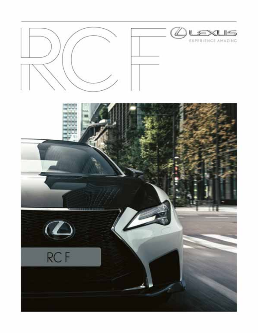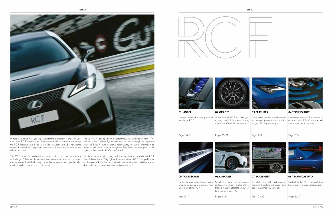In this brochure we invite you to prepare for the excitement of choosing your new Lexus RC F sports coupé. Showcasing the latest in race-bred design, the RC F features a bold signature grille with distinctive LED headlights. Behind the wheel, you'll experience amazing V8 performance, both on and Beam for enhanced vision at night; Road Sign Assist that recognises traffic off the racetrack.

The RC F's driver-focused cockpit is more sophisticated than ever before, For the ultimate in exhilarating performance, drivers can order the RC F with a large 10.3-inch multimedia display that is easy to read and intuitive to Track Edition that is 55 kg lighter than the standard RC F. Equipped for life control using a Touch Pad. Finely crafted leather sports seats give the cabin on the racetrack, it's fitted with a titanium exhaust system, carbon-ceramic an air of modern elegance and refinement.

The new RC F is equipped with the breakthrough Lexus Safety System +. This includes a Pre-Collision System with pedestrian detection; Lane Departure Alert with Sway Warning function to help you stay on course; Automatic High signs and Dynamic Radar Cruise Control.

disc brakes and a motorsport-inspired aero package.





**01. MODEL**  Discover more about the powerful new Lexus RC F.

Pages 04-07

### **03. FEATURES**

 Discover the amazing level of standard and exciting optional features available for your RC F sports coupé.



Pages 10-11







#### What kind of RC F best fits your driving style? Select from Luxury, Carbon and Track Edition grades.

Pages 08-09



#### **04. TECHNOLOGY**

 Learn more about RC F technologies such as Lexus Safety System + and Lexus Premium Navigation.

Page 12-15

**06. COLOURS** 

 Select your favourite exterior colour and specify a 'Takumi'-crafted interior that will make you feel at home every about the extras you can add. time you drive your RC F.

Pages 18-21

### **07. EQUIPMENT**

 The RC F comes with a wide range of equipment as standard. Learn more before ordering your sports coupé.

Pages 22-25





**08. TECHNICAL DATA** 

Study all the key RC F technical data

Pages 26-27



**05. ACCESSORIES** 

 Explore the great range of accessories created by Lexus to enhance your enjoyment of the RC F.



Page 16-17

|             |                         | $\mathcal{L}_{\mathrm{c}}$ |
|-------------|-------------------------|----------------------------|
|             |                         |                            |
| ì           |                         |                            |
|             |                         |                            |
|             | z<br>Ĩ.<br>b.<br>÷<br>÷ |                            |
|             | <b>STATISTICS</b><br>-  |                            |
| ä<br>n      | Ŧ<br>÷                  |                            |
|             |                         |                            |
| Í           |                         |                            |
| u<br>×<br>w |                         |                            |

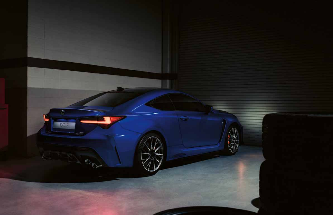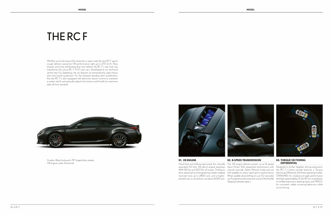Whether you're driving on the racetrack or open road, the new RC F sports coupé delivers awesome V8 performance right up to 270 km/h. Now sharper and more exhilarating than ever before, the RC F's new look was inspired by the Lexus RC F GT3 race cars. Developed at our technical centre near Fuji Speedway, the car features an extraordinarily rigid chassis and race-tuned suspension. For the sharpest standing start acceleration, the new RC F is also equipped with electronic launch control as standard, a system which automatically adjusts the traction and throttle for maximum take-off from standstill.



# THE RC F

 Graphic Black bodywork, 19" forged alloy wheels, V8 engine under the bonnet



**01. V8 ENGINE** 

Hand-built and stethoscope-tuned, this naturally

aspirated 5.0-litre V8 petrol engine develops Sport Direct Shift sequential transmission with 464 DIN hp and 520 Nm of torque. Thrilling to manual override. Select Manual mode and use the RC F Carbon grade features a Torque drive, advanced sound engineering creates a deeply shift paddles to enjoy rapid sports performance. resonant tone up to 2800 rpm, and a higher-When paddle downshifting (in just 0.2 seconds) STANDARD, for a balance of agile performance pitched roar as revolutions rise above 6000 rpm. you'll experience the awesome sound of the throttle and high-speed stability, SLALOM, for an emphasis **02. 8-SPEED TRANSMISSION**  The V8 engine delivers power via an 8-speed 'blipping' between gears.





## **DIFFERENTIAL**

 Designed to further heighten driving enjoyment, Vectoring Differential with three operating modes: on nimble response to steering inputs, and TRACK, for consistent, stable cornering behaviour while circuit driving.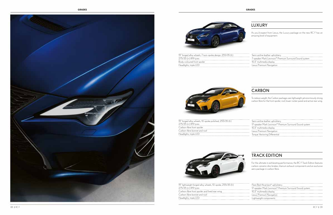



## LUXURY

 As you'd expect from Lexus, the Luxury package on the new RC F has an amazing level of equipment.

| 19" forged alloy wheels, 7-twin-spoke design, 255/35 (fr) |
|-----------------------------------------------------------|
| 275/35 (rr) R19 tyres                                     |
| Body-coloured front spoiler                               |
| Headlights, triple LED                                    |



## CARBON

 To reduce weight, the Carbon package uses lightweight yet enormously strong carbon fibre for the front spoiler, roof, lower rocker panel and active rear wing.

| 19" lightweight forged alloy wheels, 10-spoke, 255/35 (fr) |
|------------------------------------------------------------|
| 275/35 (rr) R19 tyres                                      |
| Carbon-fibre front spoiler and fixed rear wing             |
| Carbon-fibre bonnet and roof                               |
| Headlights, triple LED                                     |
|                                                            |

## TRACK EDITION

 For the ultimate in exhilarating performance, the RC F Track Edition features carbon-ceramic disc brakes, titanium exhaust components and an exclusive aero package in carbon fibre.

| 19" forged alloy wheels, 10-spoke polished, 255/35 (fr) |
|---------------------------------------------------------|
| 275/35 (rr) R19 tyres                                   |
| Carbon-fibre front spoiler                              |
| Carbon-fibre bonnet and roof                            |
| Headlights, triple LED                                  |



| Semi-aniline leather upholstery                         |
|---------------------------------------------------------|
| 17-speaker Mark Levinson® Premium Surround Sound system |
| 10.3" multimedia display                                |
| Lexus Premium Navigation                                |
| Torque Vectoring Differential                           |
|                                                         |

| Flare Red Alcantara <sup>®</sup> upholstery             |
|---------------------------------------------------------|
| 17-speaker Mark Levinson® Premium Surround Sound system |
| 10.3" multimedia display                                |
| Lexus Premium Navigation                                |
| Lightweight components                                  |
|                                                         |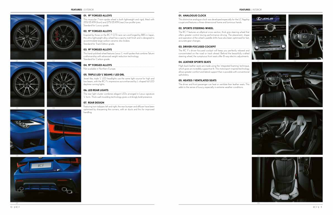This muscular 7-twin-spoke wheel is both lightweight and rigid, fitted with







 Inspired by those on the RC F GT3 race cars and forged by BBS in Japan, this ultra-lightweight alloy wheel has a sporty matt finish and is designed to accommodate large carbon-ceramic disc brakes. Standard for Track Edition grade.

### **03. 19" FORGED ALLOYS**

 This hand-polished wheel features Lexus 'L'-motif spokes that combine Takumi craftsmanship with advanced weight reduction technology. Standard for Carbon grade.

### **04. 19" FORGED ALLOYS**

Not available in Northern Europe.

### **05. TRIPLE LED 'L' BEAMS / LED DRL**

 Jewel-like, triple 'L' LED headlights use the same light source for high and low beam, with the RC F's impressive aura enhanced by L-shaped full LED daytime running lights.

### **06. LED REAR LIGHTS**

 The rear light cluster combines elegant LEDs arranged in Lexus signature 'L' form. Thick-wall moulding technology gives a strikingly bold presence.

### **07. REAR DESIGN**

 Featuring twin tailpipes left and right, the rear bumper and diffuser have been optimised by sharpening the corners, with air ducts and fins for improved handling.



03



 $02$ 



07

04







#### **01. ANALOGUE CLOCK**

 This distinctive analogue clock was developed especially for the LC flagship coupé and features a three-dimensional frame and luminous hands.

#### **02. SPORTS STEERING WHEEL**

 The RC F features an elliptical cross-section, thick grip steering wheel that offers greater control during performance driving. The placement, shape and operation of the wheel's paddle shifts have also been optimised for fast, accurate gear changes.

### **03. DRIVER-FOCUSED COCKPIT**

 The RC F's driver-focused cockpit will keep you perfectly relaxed and concentrated on the road or track ahead. Behind the beautifully crafted steering wheel, the sumptuous front seats offer 8-way electric adjustments.

### **04. LEATHER SPORTS SEATS**

 High-back leather seats are made using the 'integrated foaming' technique, which gives an incredibly supportive fit. This motorsport-inspired technology allows greater comfort and lateral support than is possible with conventional upholstery.

### **05. HEATED / VENTILATED SEATS**

 The driver and front passenger can heat or ventilate their leather seats. This adds to the sense of luxury, especially in extreme weather conditions.

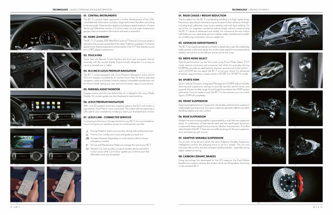

#### **01. CENTRAL INSTRUMENTS**

 The RC F's 17-speaker, 835 Watt Mark Levinson® Premium Surround system is tailored to the acoustic properties of the cabin. It delivers a peerless 7.1-channel digital home-theatre experience, enhanced by Clari-Fi™ that rebuilds sound lost in MP3 digital compression.

 The RC F's central meter represents a further development of the LFA's switchable dial. Information includes a large tachometer that alters according to driving mode. There are also digital and analogue speed readouts, a Torque Vectoring Differential monitor, a G-force meter, oil and water temperature gauges, fuel consumption information and even a stopwatch.

#### **02. MARK LEVINSON®**

### **03. TOUCH PAD**

 Touch Pad with Remote Touch Interface lets front seat occupants interact intuitively with the central display. Ergonomically designed, it is as easy to use as a smartphone or tablet.

#### **04. 10.3-INCH LEXUS PREMIUM NAVIGATION**

 The RC F comes equipped with Lexus Premium Navigation and a central 10.3-inch display controlled by an intuitive Touch Pad. As well as adjusting navigation, audio and climate using this display, compatible smartphones can be 'mirror linked', letting you view and control certain apps on your phone.

- $\mathcal{L}$  Driving Analytics: Tracks your journeys, driving style and business trips
- Find my Car: Locates your Lexus and guides you back to it
- Accident Assistant: Depending on crash severity, informs chosen emergency contacts
- Service and Maintenance: Helps you manage the care of your RC F
- Share to Car: Lets you plan a route on another device and send it to your Lexus, while 'Car to Door' guides you on foot to your final destination once you are parked

#### **05. PARKING ASSIST MONITOR**

 Engage reverse and the view behind the car is relayed to the Lexus Media Display. On-screen guides are also displayed to assist parking.

#### **06. LEXUS PREMIUM NAVIGATION**

 With vivid 3D graphics and many mapping options, the 10.3-inch screen is operated by Touch Pad or voice commands. The system will even generate a QR code for your smartphone, to help you reach your final destination on foot.

 Vehicle performance can be fine-tuned using Drive Mode Select. ECO mode reduces emissions and conserves fuel while, for everyday driving, NORMAL provides an ideal balance of power, economy and ride comfort – and CUSTOM lets you adjust the RC F to suit your mood. For enhanced drivetrain responsiveness, simply switch to SPORT S or SPORT S+ mode.

### **07. LEXUS LINK - CONNECTED SERVICES**

 Connecting to the Lexus Link app transforms your RC F into a connected car. Lexus Link gives you seamless access to connected services like:

#### **01. RIGID CHASIS / WEIGHT REDUCTION**

 The foundation for the RC F's outstanding handling is its high-rigidity body. Numerous specialised manufacturing techniques further enhance strength, including body adhesives, laser-screw welding and multi-spot welding. On top of this, our engineers worked to reduce weight without compromising the RC F's sense of refinement and solidity. For instance at the rear, hollow half shafts are now used while up front a lighter intake manifold and a smaller air conditioning compressor remove weight too.

#### **02. ADVANCED AERODYNAMICS**

 The RC F has superb aerodynamics thanks to details like a near-flat underbody, triple canards on the front spoiler, fins on the rocker panel for increased vehicle stability, vertical fins on the diffuser and an active rear wing.

#### **03. DRIVE MODE SELECT**

#### **04. SPORTS VDIM**

 Sports Vehicle Dynamics Integrated Management (VDIM) adjusts throttle, steering and suspension settings to provide sportier performance, and expands the permissible range of centrifugal force before the VDIM system intervenes. If you're ready to push the RC F to the extreme, you can switch Sports VDIM off completely.

#### **05. FRONT SUSPENSION**

 Featuring forged aluminium components, the double wishbone front suspension is lightweight and responsive. Innovative suspension geometry delivers excellent handling stability and ride comfort.

#### **06. REAR SUSPENSION**

 Straight-line and cornering stability is guaranteed by a multi-link rear suspension setup. A combination of high-tensile steel and die-cast/forged aluminium components keeps weight low but ensures vibration-free precision. To further refine the feel of the RC F, there are now stiffer bushings for the rear suspension arms and steering rack mounts.

#### **07. ADAPTIVE VARIABLE SUSPENSION**

 For an even more dynamic drive, the latest Adaptive Variable Suspension intelligently controls the damping force on all four wheels. This not only improves ride comfort, but also increases handling stability – especially during higher-speed cornering.

#### **08. CARBON CERAMIC BRAKES**

 Using technology first developed for the LFA supercar, the Track Edition benefits from carbon-ceramic disc brakes, which are 22 kg lighter than those on the standard RC F.













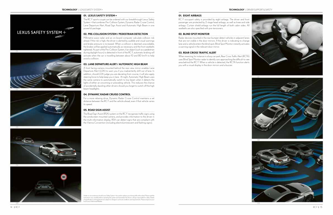#### **01. EIGHT AIRBAGS**

RC F occupant safety is provided by eight airbags. The driver and front passenger are protected by 2-stage head airbags, as well as knee and side airbags. Curtain shield airbags run the full length of both cabin sides. All seatbelts are also specified with pre-tensioners.

#### **02. BLIND SPOT MONITOR**

 Radar devices mounted in the rear bumper detect vehicles in adjacent lanes that are not visible in the door mirrors. If the driver is indicating to change lane and a vehicle enters the blind spot, Blind Spot Monitor instantly activates a warning signal in the relevant door mirror.

#### **03. REAR CROSS TRAFFIC ALERT**

 When reversing, for instance in a busy car park, Rear Cross Traffic Alert (RCTA) uses Blind Spot Monitor radar to identify cars approaching the difficult-to-see area behind the RC F. When a vehicle is detected, the RCTA function alerts you with a visual display in the door mirrors and a buzzer.



#### **01. LEXUS SAFETY SYSTEM +**

 The RC F sports coupé can be ordered with our breakthrough Lexus Safety System + that combines Pre-Collision System, Dynamic Radar Cruise Control, Lane Departure Alert, Road Sign Assist and Automatic High Beam in one powerful package.

#### **02. PRE-COLLISION SYSTEM / PEDESTRIAN DETECTION**

 Millimetre-wave radar and an on-board computer calculate collision risk ahead. If the risk is high, the driver is alerted by audible and visual warnings and brake pressure is increased. When a collision is deemed unavoidable, the brakes will be applied automatically as necessary and the front seatbelts tightened. As part of the Pre-Collision System, if an object (such as a pedestrian during daylight hours) is detected in front of the RC F, automatic braking will activate when the car is travelling between about 10 and 80 km/h to help avoid a collision.

#### **03. LANE DEPARTURE ALERT / AUTOMATIC HIGH BEAM**

 A front facing camera mounted behind the rear-view mirror enables Lane Departure Alert (LDA) to warn you if you inadvertently drift out of lane. In addition, should LDA judge you are deviating from course, it will also apply steering force to help keep you in lane. At night, Automatic High Beam uses the same camera to automatically switch to low beam when it detects the lights of either an oncoming or preceding vehicle. This reduces the chance of accidentally dazzling other drivers should you forget to switch off the high beam headlights.

#### **04. DYNAMIC RADAR CRUISE CONTROL**

 For a more relaxing drive, Dynamic Radar Cruise Control maintains a set distance between the RC F and the vehicle ahead, even if that vehicle varies its speed.

### **05. ROAD SIGN ASSIST**

 The Road Sign Assist (RSA) system on the RC F recognises traffic signs using the windscreen-mounted camera, and provides information to the driver in the multi-information display. RSA can detect signs that are compliant with the Vienna Convention (including electroluminescent and flashing signs).















 Under no circumstances should Lexus Safety System + be used to replace your driving skills at the wheel. Please read the instructions very carefully before operating the system and remember the driver is always responsible for safety. Details<br>of specifications and equipment are subject to change to suit local conditions and requirements. Ple local Lexus Authorised Retailer.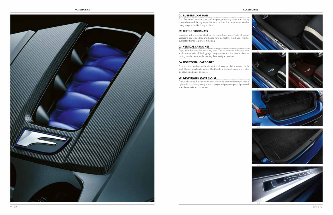

#### **01. RUBBER FLOOR MATS**

 The ultimate solution for your car's carpets, protecting them from muddy or wet shoes and the ingress of dirt, sand or dust. The driver's mat has dual safety fixings to hold it firmly in place.

#### **02. TEXTILE FLOOR MATS**

 Luxurious yet protective black or red textile floor mats. Made of soundabsorbing acuvelour, they are shaped for a perfect fit. The driver's mat has dual safety fixings to prevent it slipping.

 Genuine Lexus scuff plates for the door sills create an immediate impression of style while also serving a very practical purpose of protecting the sill paintwork from dirty marks and scratches.

#### **03. VERTICAL CARGO NET**

 Enjoy added practicality and a tidy boot. The net clips on to factory-fitted hooks on the side of the luggage compartment and has two pockets for storing smaller items, while keeping them easily accessible.

#### **04. HORIZONTAL CARGO NET**

 A convenient solution to the distraction of luggage sliding around in the boot. The net attaches to factory-fitted hooks in the boot space and is ideal for securing a bag or briefcase.

#### **05. ILLUMINATED SCUFF PLATES**

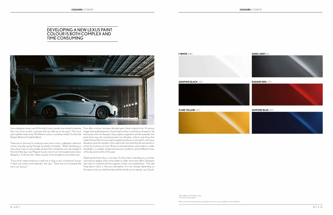**F WHITE** | 083 **SONIC GREY** | 1L1





 **FLARE YELLOW** | 5C12 **SAPPHIRE BLUE** | 8X11

 1 Not available on Track Edition grade. 2 Exclusive to Carbon grade .

Please note: due to printing variances, actual paintwork colours may vary slightly from those illustrated.

### DEVELOPING A NEW LEXUS PAINT COLOUR IS BOTH COMPLEX AND TIME CONSUMING



 Lexus designers never use off-the-shelf colours, preferring instead to develop Even after a colour has been decided upon, there's plenty to do. At various paint palette totals some 30 different colours including metallic finishes like Radiant Red and Graphite Black.

There are no shortcuts to creating a new Lexus colour: a designer's decision comes only after going through hundreds of samples. "When developing a new colour I see so many shades of paint that I sometimes can't see straight at the end of the day," says Megumi Suzuki, one of our most experienced colour of the day and months of the year. designers. To do her job, it takes a grasp of chromogenics and a keen eye.

"Every time I meet someone or walk into a shop or go to someone's house, I check out colours and materials," she says. "There are a lot of people like me in our division."

their own, from scratch, a process that can take up to two years. The Lexus stages during development, Suzuki had to enlist a small army of experts: lab technicians who mix the paint, clay sculptors, engineers and the assembly-line paint shop crew who would give each car a flawless, uniform coat. Every few weeks Kansai Paint (a Lexus paint supplier) produces a new batch, and Lexus designers give the samples a thorough look-over, bending the test panels to mimic the contours of a car. All are scrutinised indoors and outdoors, under floodlights, in sunlight, shade and overcast conditions, and at different times

> Selecting the final colour is not easy. A colour that is dazzling on a summer morning can appear sickly in the shade or under showroom lights. Designers also have to contend with the vagaries of their own preferences. "The odd thing about colour is that your perception of it can change depending on the season, how you feel that day and the trends you're seeing," says Suzuki.

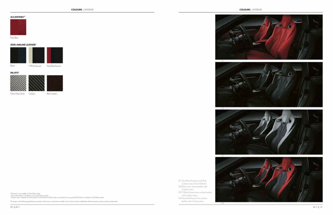01 Flare Red Alcantara with Red Carbon inlays (Track Edition) 02 Black semi-aniline leather with Carbon inlays 03 F White Accent semi-aniline leather with Carbon inlays 04 Flare Red Accent semi-aniline leather with Carbon inlays







#### **ALCANTARA®1**



Flare Red



#### **SEMI-ANILINE LEATHER2**





Glass Fibre, Silver

Carbon Red Carbon

' Alcantara is only available on Track Edition grade.<br>? Semi-aniline leather is standard on Luxury and Carbon grades.<br><sup>3</sup> Carbon inlay is standard on Carbon grade. The Glass Fibre and Silver inlays are standard on Luxury g

The images on the following page illustrate a selection of the interior combinations available. Your local Lexus Authorised Retailer will be pleased to provide you with any further help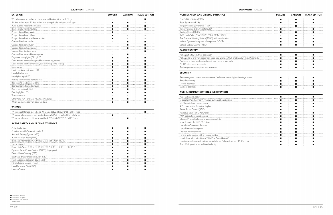| <b>EXTERIOR</b>                                                                 | <b>LUXURY</b> | <b>CARBON</b> | <b>TRACK EDITION</b> |
|---------------------------------------------------------------------------------|---------------|---------------|----------------------|
| 19" carbon ceramic brakes front and rear, red brake callipers with F logo       |               |               |                      |
| 19" dics brakes front, 18" disc brakes rear, orange brake callipers with F logo |               |               |                      |
| Auto-levelling headlights, dynamic                                              |               |               |                      |
| Black window frame moulding                                                     |               |               |                      |
| Body-coloured front spoiler                                                     |               |               |                      |
| Body-coloured rear diffuser                                                     |               |               |                      |
| Body-coloured, retractable rear spoiler                                         |               |               |                      |
| Carbon-fibre front spoiler                                                      |               |               |                      |
| Carbon-fibre rear diffuser                                                      |               |               |                      |
| Carbon-fibre roof and bonnet                                                    |               |               |                      |
| Carbon-fibre, fixed rear wing                                                   |               |               |                      |
| Carbon-fibre, retractable rear spoiler                                          |               |               |                      |
| Daytime running lights (DRL), LED                                               |               |               |                      |
| Door mirrors, electrically adjustable with memory, heated                       |               |               |                      |
| Door mirrors, electro chromatic (auto-dimming), auto-folding                    |               |               |                      |
| Dusk sensor                                                                     |               |               |                      |
| Front turn signal indicators, LED                                               |               |               |                      |
| Headlight cleaners                                                              |               |               |                      |
| Headlights, triple LED                                                          |               |               |                      |
| Parking assist sensors, front and rear                                          |               |               |                      |
| Rain sensing windscreen wipers                                                  |               |               |                      |
| Rear bumper with quad exhaust                                                   |               |               |                      |
| Rear combination lights, LED                                                    |               |               |                      |
| Rear fog lights, LED                                                            |               |               |                      |
| Titanium exhaust                                                                |               |               |                      |
| Ultra Violet (UV) and heat insulating tinted glass                              |               |               |                      |
| Water-repellent glass, front door windows                                       |               |               | ш                    |

#### **WHEELS**

| 19" lightweight forged alloy wheels, 10-spoke, 255/35 (fr) 275/35 (rr) R19 tyres |  |  |
|----------------------------------------------------------------------------------|--|--|
| 19" forged alloy wheels, 7-twin-spoke design, 255/35 (fr) 275/35 (rr) R19 tyres  |  |  |
| 19" forged alloy wheels, 10-spoke polished, 255/35 (fr) 275/35 (rr) R19 tyres    |  |  |

#### **ACTIVE SAFETY AND DRIVING DYNAMICS**

| Active brake lights                                           |   | <br>. |   |
|---------------------------------------------------------------|---|-------|---|
| Adaptive Variable Suspension (AVS)                            |   |       |   |
| Anti-lock Braking System (ABS                                 |   | .     |   |
| Automatic High Beam (AHB)                                     |   |       |   |
| Blind Spot Monitor (BSM) with Rear Cross Traffic Alert (RCTA) |   |       |   |
| Cruise Control                                                |   |       |   |
| Drive Mode Select (ECO/ NORMAL / CUSTOM / SPORT S / SPORT S+) |   |       |   |
| Dynamic Radar Cruise Control (DRCC), high-speed               |   |       |   |
| Electric Power Steering (EPS)                                 | . |       | . |
| Electronic Brake-force Distribution (EBD                      |   |       |   |
| Front pedestrian detection, daytime only                      |   |       |   |
| Hill-start Assist Control (HAC)                               |   |       |   |
| Lane Departure Alert (LDA)                                    |   |       |   |
|                                                               |   |       |   |
|                                                               |   |       |   |

| <b>ACTIVE SAFETY AND DRIVING DYNAMICS</b>                                                         | <b>LUXURY</b> | <b>CARBON</b> | <b>TRACK EDITION</b> |
|---------------------------------------------------------------------------------------------------|---------------|---------------|----------------------|
| Pre-Collision System (PCS)                                                                        |               |               |                      |
| Road Sign Assist (RSA)                                                                            |               |               |                      |
| Torque Vectoring Differential (TVD)                                                               |               |               |                      |
| Torsen® Limited Slip Differential (LSD)                                                           | ш             |               | ш                    |
| Traction Control (TRC)                                                                            |               |               |                      |
| TVD Mode Select, STANDARD / SLALOM / TRACK                                                        |               |               |                      |
| Tyre Pressure Warning System (TPWS) with auto-location                                            |               |               |                      |
| Vehicle Dynamics Integrated Management (VDIM)                                                     | ■             |               | ■                    |
| Vehicle Stability Control (VSC)                                                                   | ■             | ш             | ■                    |
| <b>PASSIVE SAFETY</b>                                                                             |               |               |                      |
| Airbag cut-off switch, front passenger                                                            |               |               |                      |
| Airbags, driver and front passenger; head, side and knee / full-length curtain shield / rear side |               |               |                      |
| Audible and visual front seatbelts reminder, front and rear seats                                 |               |               |                      |
| ISOFIX attachment, rear seats                                                                     |               |               |                      |
| Seatbelt pre-tensioners, front and rear seats                                                     |               |               |                      |
| <b>SECURITY</b>                                                                                   |               |               |                      |
| Anti-theft system - siren / intrusion sensor / inclination sensor / glass breakage sensor         | п             | п             | п                    |
| Auto door locking                                                                                 |               |               |                      |
| Double door lock                                                                                  |               |               | ▅                    |
| Wireless door lock                                                                                |               |               | ▄                    |
| <b>AUDIO, COMMUNICATION &amp; INFORMATION</b>                                                     |               |               |                      |
| 10.3" multimedia display                                                                          | п             | П             | ш                    |
| 17-speaker Mark Levinson® Premium Surround Sound system                                           | п             | ■             | ш                    |
| 2 USB ports, front centre console                                                                 |               |               | ▄                    |
| 4.2" colour multi-information display                                                             | ■             |               | a l                  |
| Active Sound Control (ASC)                                                                        | п             |               |                      |
| Analogue clock with GPS function                                                                  | ш             | П             | ■                    |
| AUX socket, front centre console                                                                  |               | П             |                      |
| Bluetooth <sup>®</sup> mobile phone and audio connectivity                                        |               |               |                      |
| In-dash, single slot CD/DVD player                                                                |               |               |                      |
| Lexus Link Connected Services                                                                     |               |               |                      |
| Lexus Premium Navigation                                                                          | ш             | П             | ш                    |
| Optitron instrumentation                                                                          |               | ш             |                      |
| Parking assist monitor with on-screen guides                                                      |               |               |                      |
| Smartphone integration (Apple® CarPlay, Android Auto®)                                            |               |               |                      |
| Steering wheel mounted controls, audio / display / phone / voice / DRCC / LDA                     |               |               |                      |
| Touch Pad operation for multimedia display                                                        |               |               |                      |

| <b>ACTIVE SAFETY AND DRIVING DYNAMICS</b>                                                         | <b>LUXURY</b> | <b>CARBON</b> | <b>TRACK EDITION</b> |
|---------------------------------------------------------------------------------------------------|---------------|---------------|----------------------|
| Pre-Collision System (PCS)                                                                        |               |               |                      |
| Road Sign Assist (RSA)                                                                            |               |               |                      |
| Torque Vectoring Differential (TVD)                                                               |               |               |                      |
| Torsen <sup>®</sup> Limited Slip Differential (LSD)                                               |               |               |                      |
| Traction Control (TRC)                                                                            |               |               |                      |
| TVD Mode Select, STANDARD / SLALOM / TRACK                                                        |               |               |                      |
| Tyre Pressure Warning System (TPWS) with auto-location                                            |               |               |                      |
| Vehicle Dynamics Integrated Management (VDIM)                                                     | ■             |               |                      |
| Vehicle Stability Control (VSC)                                                                   | ■             | П             | ш                    |
| <b>PASSIVE SAFETY</b>                                                                             |               |               |                      |
| Airbag cut-off switch, front passenger                                                            |               |               |                      |
| Airbags, driver and front passenger; head, side and knee / full-length curtain shield / rear side |               |               |                      |
| Audible and visual front seatbelts reminder, front and rear seats                                 |               |               |                      |
| ISOFIX attachment, rear seats                                                                     |               |               |                      |
| Seatbelt pre-tensioners, front and rear seats                                                     |               |               |                      |
| <b>SECURITY</b>                                                                                   |               |               |                      |
| Anti-theft system - siren / intrusion sensor / inclination sensor / glass breakage sensor         | п             | П             | ш                    |
| Auto door locking                                                                                 |               |               |                      |
| Double door lock                                                                                  |               | ■             |                      |
| Wireless door lock                                                                                | ■             | ш             | ш                    |
| <b>AUDIO, COMMUNICATION &amp; INFORMATION</b>                                                     |               |               |                      |
| 10.3" multimedia display                                                                          | ■             | п             |                      |
| 17-speaker Mark Levinson® Premium Surround Sound system                                           | п             | П             | ш                    |
| 2 USB ports, front centre console                                                                 |               | ■             |                      |
| 4.2" colour multi-information display                                                             | ■             |               |                      |
| Active Sound Control (ASC)                                                                        | ■             | ■             |                      |
| Analogue clock with GPS function                                                                  | ■             | П             | ш                    |
| AUX socket, front centre console                                                                  | ■             | П             |                      |
| Bluetooth <sup>®</sup> mobile phone and audio connectivity                                        |               |               |                      |
| In-dash, single slot CD/DVD player                                                                |               |               |                      |
| Lexus Link Connected Services                                                                     |               |               |                      |
| Lexus Premium Navigation                                                                          | ■             | ■             |                      |
| Optitron instrumentation                                                                          |               | ш             |                      |
| Parking assist monitor with on-screen guides                                                      |               |               |                      |
| Smartphone integration (Apple® CarPlay, Android Auto®)                                            |               |               |                      |
| Steering wheel mounted controls, audio / display / phone / voice / DRCC / LDA                     |               |               |                      |
| Touch Pad operation for multimedia display                                                        |               |               |                      |

| <b>ACTIVE SAFETY AND DRIVING DYNAMICS</b>                                                         | <b>LUXURY</b> | <b>CARBON</b>  | <b>TRACK EDITION</b>                                                                                                                                                                                                              |
|---------------------------------------------------------------------------------------------------|---------------|----------------|-----------------------------------------------------------------------------------------------------------------------------------------------------------------------------------------------------------------------------------|
| Pre-Collision System (PCS)                                                                        |               |                |                                                                                                                                                                                                                                   |
| Road Sign Assist (RSA)                                                                            |               |                |                                                                                                                                                                                                                                   |
| Torque Vectoring Differential (TVD)                                                               |               | П              |                                                                                                                                                                                                                                   |
| Torsen <sup>®</sup> Limited Slip Differential (LSD)                                               | ■             |                |                                                                                                                                                                                                                                   |
| Traction Control (TRC)                                                                            | П             |                |                                                                                                                                                                                                                                   |
| TVD Mode Select, STANDARD / SLALOM / TRACK                                                        |               | П              |                                                                                                                                                                                                                                   |
| Tyre Pressure Warning System (TPWS) with auto-location                                            |               | П              |                                                                                                                                                                                                                                   |
| Vehicle Dynamics Integrated Management (VDIM)                                                     | ■             | $\blacksquare$ | ш                                                                                                                                                                                                                                 |
| Vehicle Stability Control (VSC)                                                                   | П             | $\blacksquare$ | П                                                                                                                                                                                                                                 |
| <b>PASSIVE SAFETY</b>                                                                             |               |                |                                                                                                                                                                                                                                   |
| Airbag cut-off switch, front passenger                                                            |               | П              |                                                                                                                                                                                                                                   |
| Airbags, driver and front passenger; head, side and knee / full-length curtain shield / rear side | ■             | П              | e de la construcción de la construcción de la construcción de la construcción de la construcción de la construcción<br>En la construcción de la construcción de la construcción de la construcción de la construcción de la const |
| Audible and visual front seatbelts reminder, front and rear seats                                 | ■             |                |                                                                                                                                                                                                                                   |
| ISOFIX attachment, rear seats                                                                     | ■             |                |                                                                                                                                                                                                                                   |
| Seatbelt pre-tensioners, front and rear seats                                                     | ■             | ш              | ш                                                                                                                                                                                                                                 |
|                                                                                                   |               |                |                                                                                                                                                                                                                                   |
| <b>SECURITY</b>                                                                                   |               |                |                                                                                                                                                                                                                                   |
| Anti-theft system - siren / intrusion sensor / inclination sensor / glass breakage sensor         | п             | п              | п                                                                                                                                                                                                                                 |
| Auto door locking                                                                                 |               |                |                                                                                                                                                                                                                                   |
| Double door lock                                                                                  |               |                |                                                                                                                                                                                                                                   |
| Wireless door lock                                                                                | ■             | ш              | ш                                                                                                                                                                                                                                 |
| <b>AUDIO, COMMUNICATION &amp; INFORMATION</b>                                                     |               |                |                                                                                                                                                                                                                                   |
| 10.3" multimedia display                                                                          | ■             | п              | ■                                                                                                                                                                                                                                 |
| 17-speaker Mark Levinson® Premium Surround Sound system                                           | ■             | П              | П                                                                                                                                                                                                                                 |
| 2 USB ports, front centre console                                                                 | ■             |                |                                                                                                                                                                                                                                   |
| 4.2" colour multi-information display                                                             |               |                |                                                                                                                                                                                                                                   |
| Active Sound Control (ASC)                                                                        | ■             | ш              |                                                                                                                                                                                                                                   |
| Analogue clock with GPS function                                                                  | ш             | ш              |                                                                                                                                                                                                                                   |
| AUX socket, front centre console                                                                  | ■             |                |                                                                                                                                                                                                                                   |
| Bluetooth <sup>®</sup> mobile phone and audio connectivity                                        | ■             |                |                                                                                                                                                                                                                                   |
| In-dash, single slot CD/DVD player                                                                | ■             | П              |                                                                                                                                                                                                                                   |
| Lexus Link Connected Services                                                                     |               |                |                                                                                                                                                                                                                                   |
| Lexus Premium Navigation                                                                          |               |                |                                                                                                                                                                                                                                   |
| Optitron instrumentation                                                                          | ■             |                |                                                                                                                                                                                                                                   |
| Parking assist monitor with on-screen guides                                                      |               |                |                                                                                                                                                                                                                                   |
| Smartphone integration (Apple® CarPlay, Android Auto®)                                            | ■             |                |                                                                                                                                                                                                                                   |
| Steering wheel mounted controls, audio / display / phone / voice / DRCC / LDA                     |               |                |                                                                                                                                                                                                                                   |
| Touch Pad operation for multimedia display                                                        | ■             |                |                                                                                                                                                                                                                                   |

| Pre-Collision System (PCS)                             |
|--------------------------------------------------------|
| Road Sign Assist (RSA)                                 |
| Torque Vectoring Differential (TVD)                    |
| Torsen <sup>®</sup> Limited Slip Differential (LSD)    |
| Traction Control (TRC)                                 |
| TVD Mode Select, STANDARD / SLALOM / TRACK             |
| Tyre Pressure Warning System (TPWS) with auto-location |
| Vehicle Dynamics Integrated Management (VDIM)          |
| Vehicle Stability Control (VSC)                        |
|                                                        |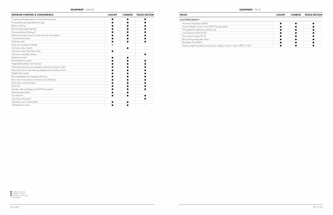| <b>INTERIOR COMFORT &amp; CONVENIENCE</b>                        | <b>LUXURY</b> | <b>CARBON</b> | <b>TRACK EDITION</b> |
|------------------------------------------------------------------|---------------|---------------|----------------------|
| 3-spoke, perforated leather trimmed steering wheel               |               |               |                      |
| 8-way electrically adjustable front seats                        |               |               |                      |
| Black roof lining                                                |               |               |                      |
| Boot lid, electrically operated                                  | ш             |               |                      |
| Door panel finish, Alcantara®                                    | ■             |               |                      |
| Electronic climate control, 2-zone with auto-recirculation       | ■             |               |                      |
| F exclusive front seats                                          |               |               |                      |
| Fixed rear seats                                                 | ш             |               |                      |
| Glass sunroof, electric tilt/slide                               | $\circ$       |               |                      |
| Glove box inlay, Carbon                                          |               |               |                      |
| Glove box inlay, Glass-fibre, Silver                             |               |               |                      |
| Glove box inlay, Red Carbon                                      |               |               |                      |
| Heated front seats                                               |               |               |                      |
| Illuminated entry system                                         | ■             |               |                      |
| Integrated headrests, front and rear                             |               |               |                      |
| Machined aluminium sports pedals and footrest on driver's side   |               |               |                      |
| Memory for driver seat, steering wheel position and door mirrors | ■             |               |                      |
| Paddle-shift controls                                            |               |               |                      |
| Perforated leather trimmed gearshift knob                        | ■             |               |                      |
| Rear-view mirror, electro chromatic (auto-dimming)               |               |               |                      |
| Smart entry and start system                                     | ■             |               |                      |
| Smart key                                                        |               |               |                      |
| Stainless steel scuff plates with LEXUS inscription              | ■             |               |                      |
| Steering wheel heater                                            |               |               |                      |
| Tyre repair kit                                                  | ■             | ■             |                      |
| Upholstery, Alcantara®                                           |               |               |                      |
| Upholstery, semi-aniline leather                                 |               |               |                      |
| Ventilated front seats                                           |               |               |                      |

Available as standard. Available as an option. Available as part of a pack. — Not available.

| <b>PACKS</b>                                    | <b>LUXURY</b>   | <b>CARBON TRACK EDITION</b> |
|-------------------------------------------------|-----------------|-----------------------------|
| Lexus Safety System +                           |                 |                             |
| Automatic High Beam (AHB)                       |                 |                             |
| Dynamic Radar Cruise Control (DRCC), high-speed | <b>. .</b><br>. |                             |
| Front pedestrian detection, daytime only        |                 |                             |
| Lane Departure Alert (L                         |                 |                             |
| Pre-Collision System (PCS)                      |                 |                             |
| Rain sensing windscreen wipers                  |                 |                             |
| Road Sign Assist                                |                 |                             |
|                                                 |                 |                             |

| . |   |   |  |
|---|---|---|--|
|   |   |   |  |
| . |   |   |  |
|   | . | . |  |
| . |   |   |  |
|   |   |   |  |
|   |   |   |  |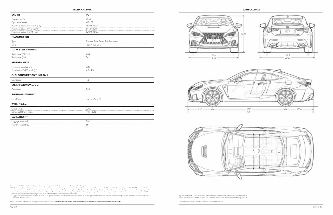| <b>TECHNICAL DATA</b>              |                                      | <b>TECHNICAL DATA</b> |
|------------------------------------|--------------------------------------|-----------------------|
| <b>ENGINE</b>                      | <b>RCF</b>                           |                       |
| Capacity (cm <sup>3</sup> )        | 4969                                 |                       |
| Cylinders / Valves                 | V8/32                                |                       |
| Maximum power (DIN hp @ rpm)       | 464 @ 7100                           |                       |
| Maximum power (kW @ rpm)           | 341@7100                             |                       |
| Maximum torque (Nm @ rpm)          | 520 @ 4800                           | 1390                  |
| <b>TRANSMISSION</b>                |                                      |                       |
| Type                               | 8-speed Sport Direct Shift Automatic |                       |
| Drive                              | Rear-Wheel Drive                     |                       |
| <b>TOTAL SYSTEM OUTPUT</b>         |                                      |                       |
| Total power (DIN hp)               | 464                                  | 1555                  |
| Total power (kW)                   | $\frac{1}{341}$                      | 1845                  |
| <b>PERFORMANCE</b>                 |                                      |                       |
| Maximum speed (km/h)               | 270                                  |                       |
| Acceleration 0-100 km/h (s)*       | 4.3/4.5                              |                       |
| FUEL CONSUMPTION** (I/100km)       |                                      |                       |
| Combined                           | $11.8$                               |                       |
| CO <sub>2</sub> EMISSIONS** (g/km) |                                      | ∊<br><b>DR</b>        |
| Combined                           | 268                                  |                       |
| <b>EMISSION STANDARD</b>           |                                      |                       |
| Euro Class                         | Euro 6d-ISC-FCM                      |                       |
| <b>WEIGHTS (kg)</b>                |                                      |                       |
| Gross vehicle                      | 2250                                 | $-930$<br>2730        |
| Kerb weight (min. - max.)          | $1715 - 1825$                        | 4710                  |
| <b>CAPACITIES***</b>               |                                      |                       |
| Luggage volume (I)                 | 366                                  |                       |
| Fuel tank capacity (I)             | 66                                   |                       |

\* Acceleration 0-100 km/h differs by the grade. The 1st figure is applicable for the Track Edition, the 2nd figure is for other grades.<br>\*\* Pre lue locas umption and CO<sub>2</sub> values are measured in a controlled environment on

Please note: further Technical Data, including any updates, can be found at www.lexus.lv / www.lexus.it / www.lexus.ee / www.lexus.sw / www.lexus.fi / www.lexus.no / www.lexus.dk







<sup>1</sup> Figure quoted is for RC F models equipped with standard roof. For models with optional sunroof, the figure is 928.<br><sup>2</sup> Figure quoted is for RC F models equipped with standard roof. For models with optional sunroof, the

Please note: the dimensions illustrated / noted are measured in millimetres.